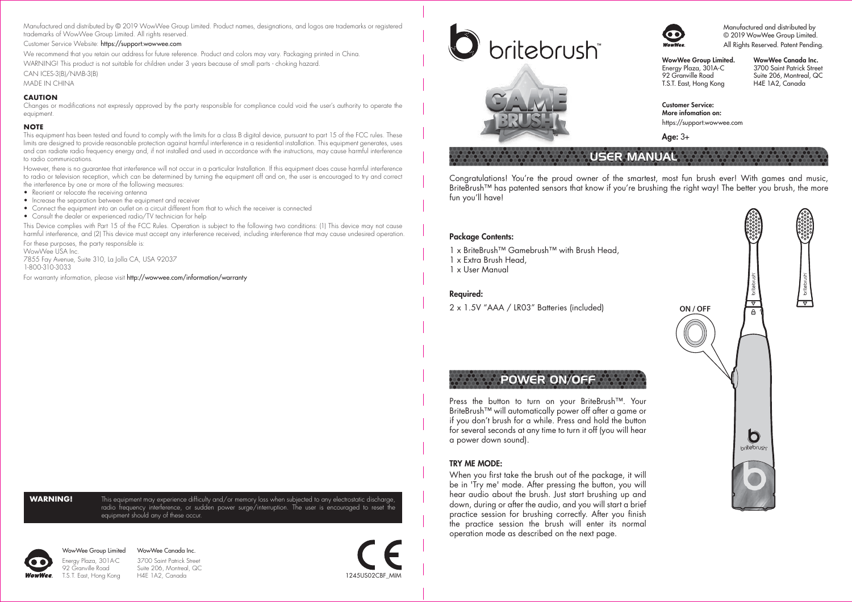Manufactured and distributed by © 2019 WowWee Group Limited. Product names, designations, and logos are trademarks or registered trademarks of WowWee Group Limited. All rights reserved.

### Customer Service Website: https://support.wowwee.com

We recommend that you retain our address for future reference. Product and colors may vary. Packaging printed in China.

WARNING! This product is not suitable for children under 3 years because of small parts - choking hazard.

### CAN ICES-3(B)/NMB-3(B)

MADE IN CHINA

### **CAUTION**

Changes or modifications not expressly approved by the party responsible for compliance could void the user's authority to operate the equipment.

### **NOTE**

This equipment has been tested and found to comply with the limits for a class B digital device, pursuant to part 15 of the FCC rules. These limits are designed to provide reasonable protection against harmful interference in a residential installation. This equipment generates, uses and can radiate radio frequency energy and, if not installed and used in accordance with the instructions, may cause harmful interference to radio communications.

However, there is no guarantee that interference will not occur in a particular Installation. If this equipment does cause harmful interference to radio or television reception, which can be determined by turning the equipment off and on, the user is encouraged to try and correct the interference by one or more of the following measures:

- Reorient or relocate the receiving antenna
- Increase the separation between the equipment and receiver
- Connect the equipment into an outlet on a circuit different from that to which the receiver is connected
- Consult the dealer or experienced radio/TV technician for help

This Device complies with Part 15 of the FCC Rules. Operation is subject to the following two conditions: (1) This device may not cause harmful interference, and (2) This device must accept any interference received, including interference that may cause undesired operation.

For these purposes, the party responsible is: WowWee USA Inc.

7855 Fay Avenue, Suite 310, La Jolla CA, USA 92037 1-800-310-3033

For warranty information, please visit http://wowwee.com/information/warranty

**WARNING!** This equipment may experience difficulty and/or memory loss when subjected to any electrostatic discharge, radio frequency interference, or sudden power surge/interruption. The user is encouraged to reset the equipment should any of these occur.



WowWee Group Limited Energy Plaza, 301A-C 92 Granville Road WowWee Canada Inc. 3700 Saint Patrick Street Suite 206, Montreal, QC<br>H4E 1A2. Canada







Manufactured and distributed by © 2019 WowWee Group Limited. All Rights Reserved. Patent Pending.

WowWee Group Limited. Energy Plaza, 301A-C 92 Granville Road T.S.T. East, Hong Kong

WowWee Canada Inc. 3700 Saint Patrick Street Suite 206, Montreal, QC H4E 1A2, Canada

Customer Service: More infomation on: https://support.wowwee.com

Age: 3+

# USER MANUAL

Congratulations! You're the proud owner of the smartest, most fun brush ever! With games and music, BriteBrush™ has patented sensors that know if you're brushing the right way! The better you brush, the more fun you'll have!

### Package Contents:

1 x BriteBrush™ Gamebrush™ with Brush Head.

™

- 1 x Extra Brush Head,
- 1 x User Manual

### Required:

2 x 1.5V "AAA / LR03" Batteries (included)

## POWER ON/OFF

Press the button to turn on your BriteBrush™. Your BriteBrush™ will automatically power off after a game or if you don't brush for a while. Press and hold the button for several seconds at any time to turn it off (you will hear a power down sound).

### TRY ME MODE:

When you first take the brush out of the package, it will be in 'Try me' mode. After pressing the button, you will hear audio about the brush. Just start brushing up and down, during or after the audio, and you will start a brief practice session for brushing correctly. After you finish the practice session the brush will enter its normal operation mode as described on the next page.